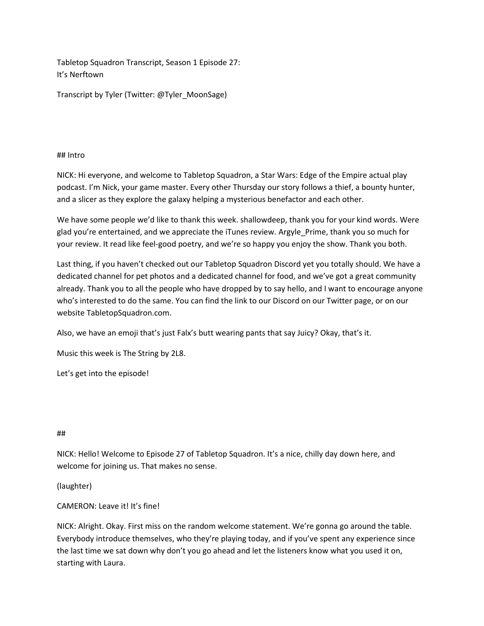Tabletop Squadron Transcript, Season 1 Episode 27: It's Nerftown

Transcript by Tyler (Twitter: @Tyler\_MoonSage)

## ## Intro

NICK: Hi everyone, and welcome to Tabletop Squadron, a Star Wars: Edge of the Empire actual play podcast. I'm Nick, your game master. Every other Thursday our story follows a thief, a bounty hunter, and a slicer as they explore the galaxy helping a mysterious benefactor and each other.

We have some people we'd like to thank this week. shallowdeep, thank you for your kind words. Were glad you're entertained, and we appreciate the iTunes review. Argyle\_Prime, thank you so much for your review. It read like feel-good poetry, and we're so happy you enjoy the show. Thank you both.

Last thing, if you haven't checked out our Tabletop Squadron Discord yet you totally should. We have a dedicated channel for pet photos and a dedicated channel for food, and we've got a great community already. Thank you to all the people who have dropped by to say hello, and I want to encourage anyone who's interested to do the same. You can find the link to our Discord on our Twitter page, or on our website TabletopSquadron.com.

Also, we have an emoji that's just Falx's butt wearing pants that say Juicy? Okay, that's it.

Music this week is The String by 2L8.

Let's get into the episode!

## ##

NICK: Hello! Welcome to Episode 27 of Tabletop Squadron. It's a nice, chilly day down here, and welcome for joining us. That makes no sense.

# (laughter)

# CAMERON: Leave it! It's fine!

NICK: Alright. Okay. First miss on the random welcome statement. We're gonna go around the table. Everybody introduce themselves, who they're playing today, and if you've spent any experience since the last time we sat down why don't you go ahead and let the listeners know what you used it on, starting with Laura.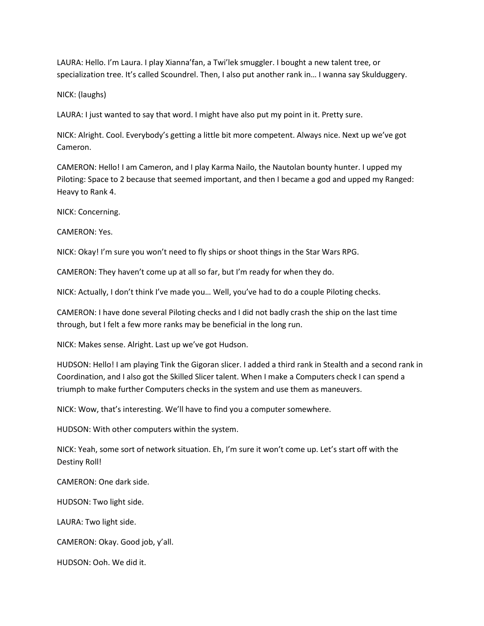LAURA: Hello. I'm Laura. I play Xianna'fan, a Twi'lek smuggler. I bought a new talent tree, or specialization tree. It's called Scoundrel. Then, I also put another rank in… I wanna say Skulduggery.

NICK: (laughs)

LAURA: I just wanted to say that word. I might have also put my point in it. Pretty sure.

NICK: Alright. Cool. Everybody's getting a little bit more competent. Always nice. Next up we've got Cameron.

CAMERON: Hello! I am Cameron, and I play Karma Nailo, the Nautolan bounty hunter. I upped my Piloting: Space to 2 because that seemed important, and then I became a god and upped my Ranged: Heavy to Rank 4.

NICK: Concerning.

CAMERON: Yes.

NICK: Okay! I'm sure you won't need to fly ships or shoot things in the Star Wars RPG.

CAMERON: They haven't come up at all so far, but I'm ready for when they do.

NICK: Actually, I don't think I've made you… Well, you've had to do a couple Piloting checks.

CAMERON: I have done several Piloting checks and I did not badly crash the ship on the last time through, but I felt a few more ranks may be beneficial in the long run.

NICK: Makes sense. Alright. Last up we've got Hudson.

HUDSON: Hello! I am playing Tink the Gigoran slicer. I added a third rank in Stealth and a second rank in Coordination, and I also got the Skilled Slicer talent. When I make a Computers check I can spend a triumph to make further Computers checks in the system and use them as maneuvers.

NICK: Wow, that's interesting. We'll have to find you a computer somewhere.

HUDSON: With other computers within the system.

NICK: Yeah, some sort of network situation. Eh, I'm sure it won't come up. Let's start off with the Destiny Roll!

CAMERON: One dark side.

HUDSON: Two light side.

LAURA: Two light side.

CAMERON: Okay. Good job, y'all.

HUDSON: Ooh. We did it.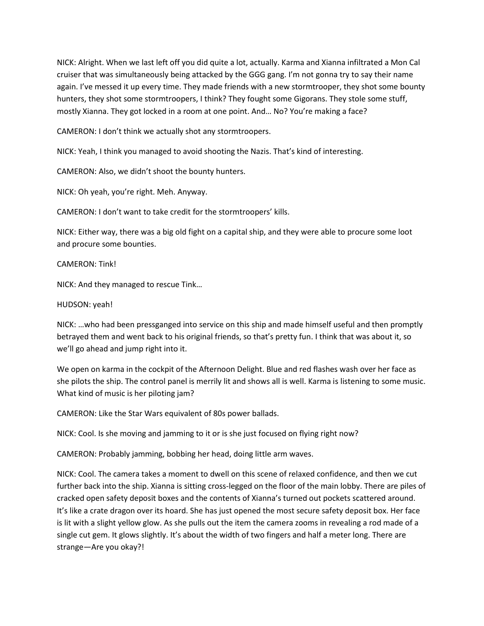NICK: Alright. When we last left off you did quite a lot, actually. Karma and Xianna infiltrated a Mon Cal cruiser that was simultaneously being attacked by the GGG gang. I'm not gonna try to say their name again. I've messed it up every time. They made friends with a new stormtrooper, they shot some bounty hunters, they shot some stormtroopers, I think? They fought some Gigorans. They stole some stuff, mostly Xianna. They got locked in a room at one point. And… No? You're making a face?

CAMERON: I don't think we actually shot any stormtroopers.

NICK: Yeah, I think you managed to avoid shooting the Nazis. That's kind of interesting.

CAMERON: Also, we didn't shoot the bounty hunters.

NICK: Oh yeah, you're right. Meh. Anyway.

CAMERON: I don't want to take credit for the stormtroopers' kills.

NICK: Either way, there was a big old fight on a capital ship, and they were able to procure some loot and procure some bounties.

CAMERON: Tink!

NICK: And they managed to rescue Tink…

#### HUDSON: yeah!

NICK: …who had been pressganged into service on this ship and made himself useful and then promptly betrayed them and went back to his original friends, so that's pretty fun. I think that was about it, so we'll go ahead and jump right into it.

We open on karma in the cockpit of the Afternoon Delight. Blue and red flashes wash over her face as she pilots the ship. The control panel is merrily lit and shows all is well. Karma is listening to some music. What kind of music is her piloting jam?

CAMERON: Like the Star Wars equivalent of 80s power ballads.

NICK: Cool. Is she moving and jamming to it or is she just focused on flying right now?

CAMERON: Probably jamming, bobbing her head, doing little arm waves.

NICK: Cool. The camera takes a moment to dwell on this scene of relaxed confidence, and then we cut further back into the ship. Xianna is sitting cross-legged on the floor of the main lobby. There are piles of cracked open safety deposit boxes and the contents of Xianna's turned out pockets scattered around. It's like a crate dragon over its hoard. She has just opened the most secure safety deposit box. Her face is lit with a slight yellow glow. As she pulls out the item the camera zooms in revealing a rod made of a single cut gem. It glows slightly. It's about the width of two fingers and half a meter long. There are strange—Are you okay?!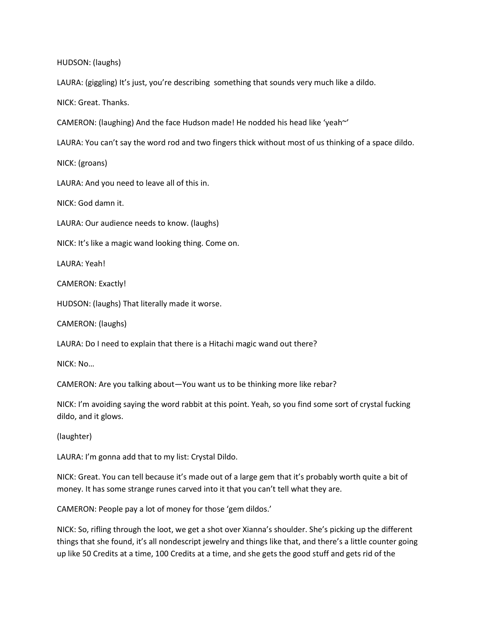HUDSON: (laughs)

LAURA: (giggling) It's just, you're describing something that sounds very much like a dildo.

NICK: Great. Thanks.

CAMERON: (laughing) And the face Hudson made! He nodded his head like 'yeah~'

LAURA: You can't say the word rod and two fingers thick without most of us thinking of a space dildo.

NICK: (groans)

LAURA: And you need to leave all of this in.

NICK: God damn it.

LAURA: Our audience needs to know. (laughs)

NICK: It's like a magic wand looking thing. Come on.

LAURA: Yeah!

CAMERON: Exactly!

HUDSON: (laughs) That literally made it worse.

CAMERON: (laughs)

LAURA: Do I need to explain that there is a Hitachi magic wand out there?

NICK: No…

CAMERON: Are you talking about—You want us to be thinking more like rebar?

NICK: I'm avoiding saying the word rabbit at this point. Yeah, so you find some sort of crystal fucking dildo, and it glows.

(laughter)

LAURA: I'm gonna add that to my list: Crystal Dildo.

NICK: Great. You can tell because it's made out of a large gem that it's probably worth quite a bit of money. It has some strange runes carved into it that you can't tell what they are.

CAMERON: People pay a lot of money for those 'gem dildos.'

NICK: So, rifling through the loot, we get a shot over Xianna's shoulder. She's picking up the different things that she found, it's all nondescript jewelry and things like that, and there's a little counter going up like 50 Credits at a time, 100 Credits at a time, and she gets the good stuff and gets rid of the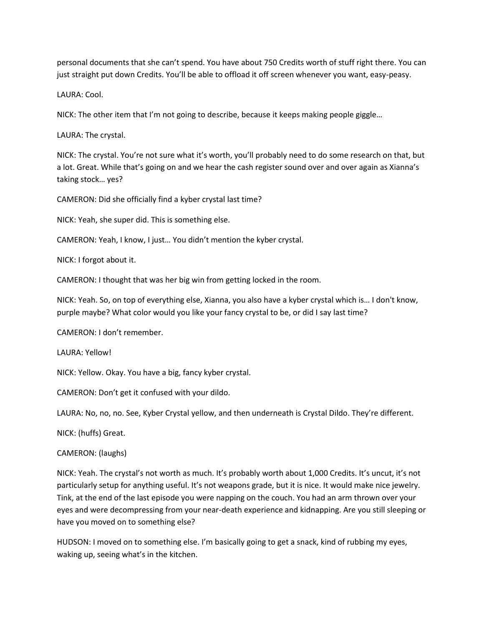personal documents that she can't spend. You have about 750 Credits worth of stuff right there. You can just straight put down Credits. You'll be able to offload it off screen whenever you want, easy-peasy.

LAURA: Cool.

NICK: The other item that I'm not going to describe, because it keeps making people giggle…

LAURA: The crystal.

NICK: The crystal. You're not sure what it's worth, you'll probably need to do some research on that, but a lot. Great. While that's going on and we hear the cash register sound over and over again as Xianna's taking stock… yes?

CAMERON: Did she officially find a kyber crystal last time?

NICK: Yeah, she super did. This is something else.

CAMERON: Yeah, I know, I just… You didn't mention the kyber crystal.

NICK: I forgot about it.

CAMERON: I thought that was her big win from getting locked in the room.

NICK: Yeah. So, on top of everything else, Xianna, you also have a kyber crystal which is… I don't know, purple maybe? What color would you like your fancy crystal to be, or did I say last time?

CAMERON: I don't remember.

LAURA: Yellow!

NICK: Yellow. Okay. You have a big, fancy kyber crystal.

CAMERON: Don't get it confused with your dildo.

LAURA: No, no, no. See, Kyber Crystal yellow, and then underneath is Crystal Dildo. They're different.

NICK: (huffs) Great.

## CAMERON: (laughs)

NICK: Yeah. The crystal's not worth as much. It's probably worth about 1,000 Credits. It's uncut, it's not particularly setup for anything useful. It's not weapons grade, but it is nice. It would make nice jewelry. Tink, at the end of the last episode you were napping on the couch. You had an arm thrown over your eyes and were decompressing from your near-death experience and kidnapping. Are you still sleeping or have you moved on to something else?

HUDSON: I moved on to something else. I'm basically going to get a snack, kind of rubbing my eyes, waking up, seeing what's in the kitchen.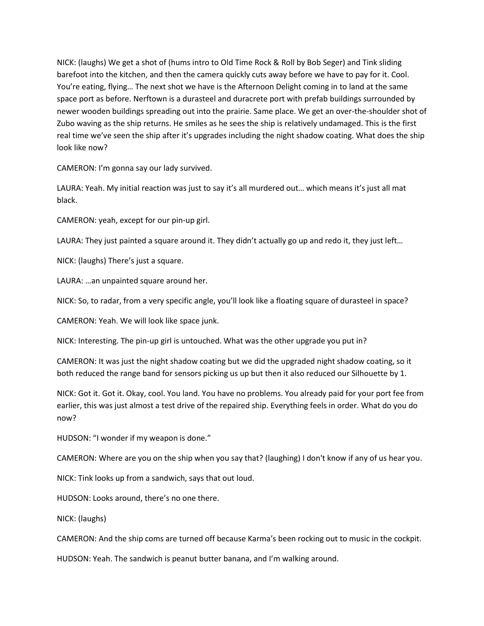NICK: (laughs) We get a shot of (hums intro to Old Time Rock & Roll by Bob Seger) and Tink sliding barefoot into the kitchen, and then the camera quickly cuts away before we have to pay for it. Cool. You're eating, flying… The next shot we have is the Afternoon Delight coming in to land at the same space port as before. Nerftown is a durasteel and duracrete port with prefab buildings surrounded by newer wooden buildings spreading out into the prairie. Same place. We get an over-the-shoulder shot of Zubo waving as the ship returns. He smiles as he sees the ship is relatively undamaged. This is the first real time we've seen the ship after it's upgrades including the night shadow coating. What does the ship look like now?

CAMERON: I'm gonna say our lady survived.

LAURA: Yeah. My initial reaction was just to say it's all murdered out… which means it's just all mat black.

CAMERON: yeah, except for our pin-up girl.

LAURA: They just painted a square around it. They didn't actually go up and redo it, they just left…

NICK: (laughs) There's just a square.

LAURA: …an unpainted square around her.

NICK: So, to radar, from a very specific angle, you'll look like a floating square of durasteel in space?

CAMERON: Yeah. We will look like space junk.

NICK: Interesting. The pin-up girl is untouched. What was the other upgrade you put in?

CAMERON: It was just the night shadow coating but we did the upgraded night shadow coating, so it both reduced the range band for sensors picking us up but then it also reduced our Silhouette by 1.

NICK: Got it. Got it. Okay, cool. You land. You have no problems. You already paid for your port fee from earlier, this was just almost a test drive of the repaired ship. Everything feels in order. What do you do now?

HUDSON: "I wonder if my weapon is done."

CAMERON: Where are you on the ship when you say that? (laughing) I don't know if any of us hear you.

NICK: Tink looks up from a sandwich, says that out loud.

HUDSON: Looks around, there's no one there.

NICK: (laughs)

CAMERON: And the ship coms are turned off because Karma's been rocking out to music in the cockpit.

HUDSON: Yeah. The sandwich is peanut butter banana, and I'm walking around.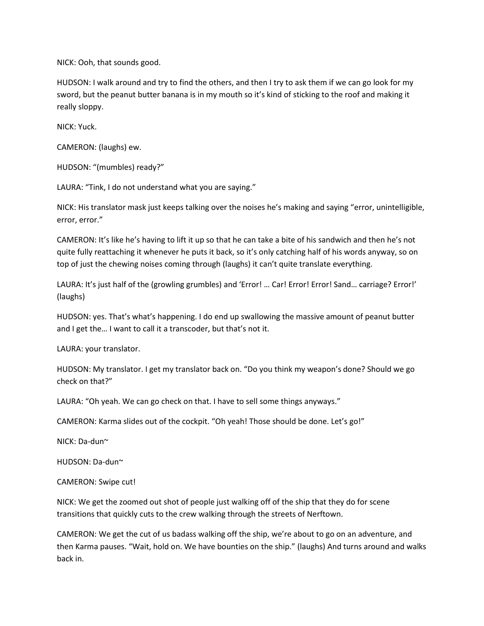NICK: Ooh, that sounds good.

HUDSON: I walk around and try to find the others, and then I try to ask them if we can go look for my sword, but the peanut butter banana is in my mouth so it's kind of sticking to the roof and making it really sloppy.

NICK: Yuck.

CAMERON: (laughs) ew.

HUDSON: "(mumbles) ready?"

LAURA: "Tink, I do not understand what you are saying."

NICK: His translator mask just keeps talking over the noises he's making and saying "error, unintelligible, error, error."

CAMERON: It's like he's having to lift it up so that he can take a bite of his sandwich and then he's not quite fully reattaching it whenever he puts it back, so it's only catching half of his words anyway, so on top of just the chewing noises coming through (laughs) it can't quite translate everything.

LAURA: It's just half of the (growling grumbles) and 'Error! … Car! Error! Error! Sand… carriage? Error!' (laughs)

HUDSON: yes. That's what's happening. I do end up swallowing the massive amount of peanut butter and I get the… I want to call it a transcoder, but that's not it.

LAURA: your translator.

HUDSON: My translator. I get my translator back on. "Do you think my weapon's done? Should we go check on that?"

LAURA: "Oh yeah. We can go check on that. I have to sell some things anyways."

CAMERON: Karma slides out of the cockpit. "Oh yeah! Those should be done. Let's go!"

NICK: Da-dun~

HUDSON: Da-dun~

CAMERON: Swipe cut!

NICK: We get the zoomed out shot of people just walking off of the ship that they do for scene transitions that quickly cuts to the crew walking through the streets of Nerftown.

CAMERON: We get the cut of us badass walking off the ship, we're about to go on an adventure, and then Karma pauses. "Wait, hold on. We have bounties on the ship." (laughs) And turns around and walks back in.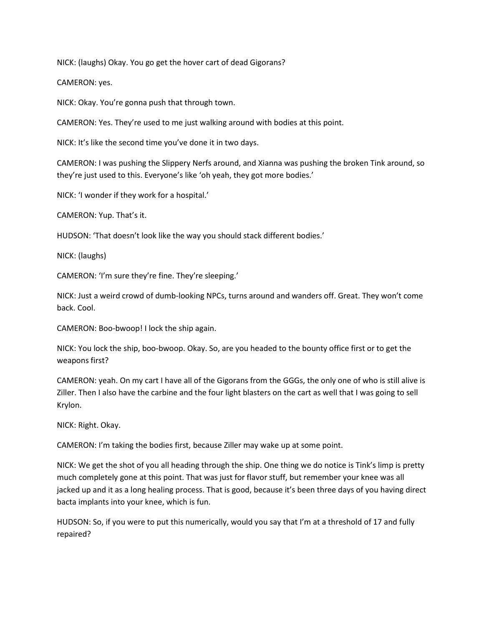NICK: (laughs) Okay. You go get the hover cart of dead Gigorans?

CAMERON: yes.

NICK: Okay. You're gonna push that through town.

CAMERON: Yes. They're used to me just walking around with bodies at this point.

NICK: It's like the second time you've done it in two days.

CAMERON: I was pushing the Slippery Nerfs around, and Xianna was pushing the broken Tink around, so they're just used to this. Everyone's like 'oh yeah, they got more bodies.'

NICK: 'I wonder if they work for a hospital.'

CAMERON: Yup. That's it.

HUDSON: 'That doesn't look like the way you should stack different bodies.'

NICK: (laughs)

CAMERON: 'I'm sure they're fine. They're sleeping.'

NICK: Just a weird crowd of dumb-looking NPCs, turns around and wanders off. Great. They won't come back. Cool.

CAMERON: Boo-bwoop! I lock the ship again.

NICK: You lock the ship, boo-bwoop. Okay. So, are you headed to the bounty office first or to get the weapons first?

CAMERON: yeah. On my cart I have all of the Gigorans from the GGGs, the only one of who is still alive is Ziller. Then I also have the carbine and the four light blasters on the cart as well that I was going to sell Krylon.

NICK: Right. Okay.

CAMERON: I'm taking the bodies first, because Ziller may wake up at some point.

NICK: We get the shot of you all heading through the ship. One thing we do notice is Tink's limp is pretty much completely gone at this point. That was just for flavor stuff, but remember your knee was all jacked up and it as a long healing process. That is good, because it's been three days of you having direct bacta implants into your knee, which is fun.

HUDSON: So, if you were to put this numerically, would you say that I'm at a threshold of 17 and fully repaired?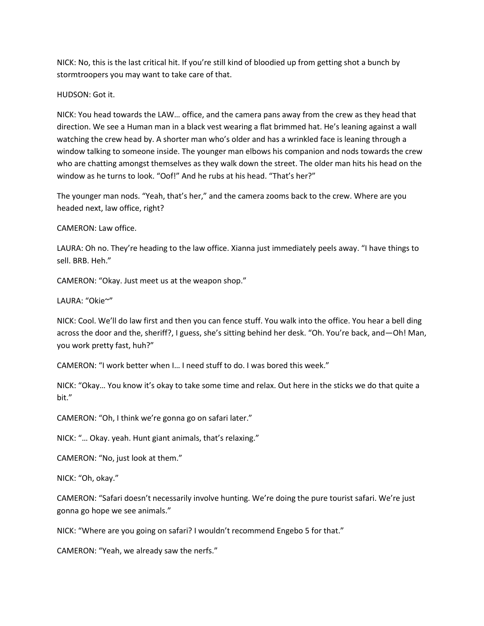NICK: No, this is the last critical hit. If you're still kind of bloodied up from getting shot a bunch by stormtroopers you may want to take care of that.

HUDSON: Got it.

NICK: You head towards the LAW… office, and the camera pans away from the crew as they head that direction. We see a Human man in a black vest wearing a flat brimmed hat. He's leaning against a wall watching the crew head by. A shorter man who's older and has a wrinkled face is leaning through a window talking to someone inside. The younger man elbows his companion and nods towards the crew who are chatting amongst themselves as they walk down the street. The older man hits his head on the window as he turns to look. "Oof!" And he rubs at his head. "That's her?"

The younger man nods. "Yeah, that's her," and the camera zooms back to the crew. Where are you headed next, law office, right?

CAMERON: Law office.

LAURA: Oh no. They're heading to the law office. Xianna just immediately peels away. "I have things to sell. BRB. Heh."

CAMERON: "Okay. Just meet us at the weapon shop."

LAURA: "Okie~"

NICK: Cool. We'll do law first and then you can fence stuff. You walk into the office. You hear a bell ding across the door and the, sheriff?, I guess, she's sitting behind her desk. "Oh. You're back, and—Oh! Man, you work pretty fast, huh?"

CAMERON: "I work better when I… I need stuff to do. I was bored this week."

NICK: "Okay… You know it's okay to take some time and relax. Out here in the sticks we do that quite a bit."

CAMERON: "Oh, I think we're gonna go on safari later."

NICK: "… Okay. yeah. Hunt giant animals, that's relaxing."

CAMERON: "No, just look at them."

NICK: "Oh, okay."

CAMERON: "Safari doesn't necessarily involve hunting. We're doing the pure tourist safari. We're just gonna go hope we see animals."

NICK: "Where are you going on safari? I wouldn't recommend Engebo 5 for that."

CAMERON: "Yeah, we already saw the nerfs."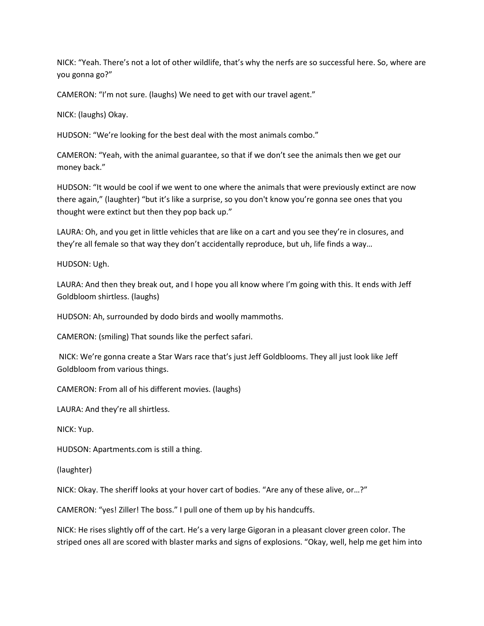NICK: "Yeah. There's not a lot of other wildlife, that's why the nerfs are so successful here. So, where are you gonna go?"

CAMERON: "I'm not sure. (laughs) We need to get with our travel agent."

NICK: (laughs) Okay.

HUDSON: "We're looking for the best deal with the most animals combo."

CAMERON: "Yeah, with the animal guarantee, so that if we don't see the animals then we get our money back."

HUDSON: "It would be cool if we went to one where the animals that were previously extinct are now there again," (laughter) "but it's like a surprise, so you don't know you're gonna see ones that you thought were extinct but then they pop back up."

LAURA: Oh, and you get in little vehicles that are like on a cart and you see they're in closures, and they're all female so that way they don't accidentally reproduce, but uh, life finds a way…

HUDSON: Ugh.

LAURA: And then they break out, and I hope you all know where I'm going with this. It ends with Jeff Goldbloom shirtless. (laughs)

HUDSON: Ah, surrounded by dodo birds and woolly mammoths.

CAMERON: (smiling) That sounds like the perfect safari.

NICK: We're gonna create a Star Wars race that's just Jeff Goldblooms. They all just look like Jeff Goldbloom from various things.

CAMERON: From all of his different movies. (laughs)

LAURA: And they're all shirtless.

NICK: Yup.

HUDSON: Apartments.com is still a thing.

(laughter)

NICK: Okay. The sheriff looks at your hover cart of bodies. "Are any of these alive, or…?"

CAMERON: "yes! Ziller! The boss." I pull one of them up by his handcuffs.

NICK: He rises slightly off of the cart. He's a very large Gigoran in a pleasant clover green color. The striped ones all are scored with blaster marks and signs of explosions. "Okay, well, help me get him into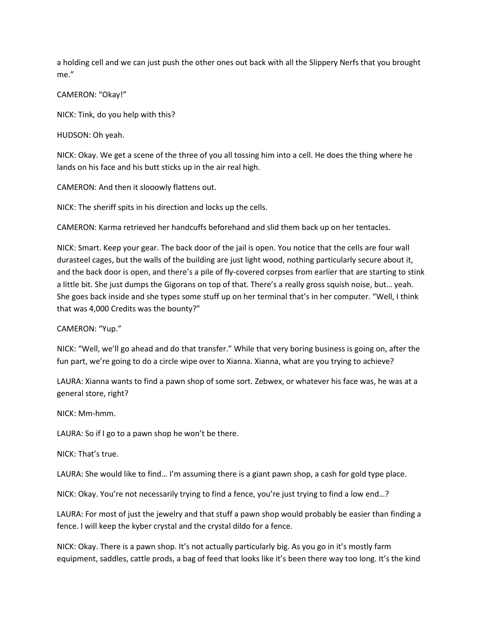a holding cell and we can just push the other ones out back with all the Slippery Nerfs that you brought me."

CAMERON: "Okay!"

NICK: Tink, do you help with this?

HUDSON: Oh yeah.

NICK: Okay. We get a scene of the three of you all tossing him into a cell. He does the thing where he lands on his face and his butt sticks up in the air real high.

CAMERON: And then it slooowly flattens out.

NICK: The sheriff spits in his direction and locks up the cells.

CAMERON: Karma retrieved her handcuffs beforehand and slid them back up on her tentacles.

NICK: Smart. Keep your gear. The back door of the jail is open. You notice that the cells are four wall durasteel cages, but the walls of the building are just light wood, nothing particularly secure about it, and the back door is open, and there's a pile of fly-covered corpses from earlier that are starting to stink a little bit. She just dumps the Gigorans on top of that. There's a really gross squish noise, but… yeah. She goes back inside and she types some stuff up on her terminal that's in her computer. "Well, I think that was 4,000 Credits was the bounty?"

CAMERON: "Yup."

NICK: "Well, we'll go ahead and do that transfer." While that very boring business is going on, after the fun part, we're going to do a circle wipe over to Xianna. Xianna, what are you trying to achieve?

LAURA: Xianna wants to find a pawn shop of some sort. Zebwex, or whatever his face was, he was at a general store, right?

NICK: Mm-hmm.

LAURA: So if I go to a pawn shop he won't be there.

NICK: That's true.

LAURA: She would like to find… I'm assuming there is a giant pawn shop, a cash for gold type place.

NICK: Okay. You're not necessarily trying to find a fence, you're just trying to find a low end…?

LAURA: For most of just the jewelry and that stuff a pawn shop would probably be easier than finding a fence. I will keep the kyber crystal and the crystal dildo for a fence.

NICK: Okay. There is a pawn shop. It's not actually particularly big. As you go in it's mostly farm equipment, saddles, cattle prods, a bag of feed that looks like it's been there way too long. It's the kind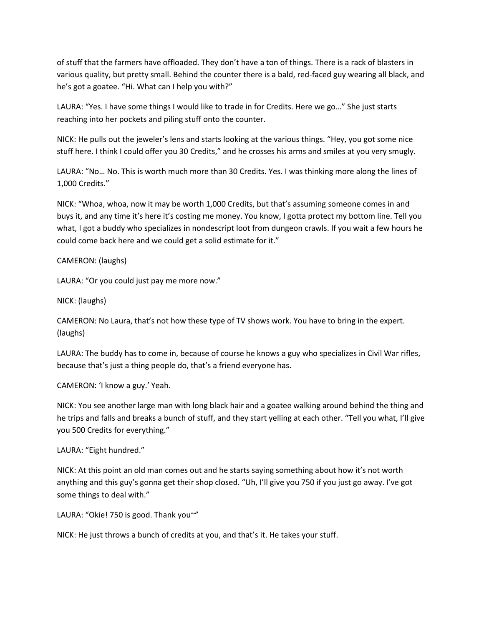of stuff that the farmers have offloaded. They don't have a ton of things. There is a rack of blasters in various quality, but pretty small. Behind the counter there is a bald, red-faced guy wearing all black, and he's got a goatee. "Hi. What can I help you with?"

LAURA: "Yes. I have some things I would like to trade in for Credits. Here we go…" She just starts reaching into her pockets and piling stuff onto the counter.

NICK: He pulls out the jeweler's lens and starts looking at the various things. "Hey, you got some nice stuff here. I think I could offer you 30 Credits," and he crosses his arms and smiles at you very smugly.

LAURA: "No… No. This is worth much more than 30 Credits. Yes. I was thinking more along the lines of 1,000 Credits."

NICK: "Whoa, whoa, now it may be worth 1,000 Credits, but that's assuming someone comes in and buys it, and any time it's here it's costing me money. You know, I gotta protect my bottom line. Tell you what, I got a buddy who specializes in nondescript loot from dungeon crawls. If you wait a few hours he could come back here and we could get a solid estimate for it."

## CAMERON: (laughs)

LAURA: "Or you could just pay me more now."

NICK: (laughs)

CAMERON: No Laura, that's not how these type of TV shows work. You have to bring in the expert. (laughs)

LAURA: The buddy has to come in, because of course he knows a guy who specializes in Civil War rifles, because that's just a thing people do, that's a friend everyone has.

CAMERON: 'I know a guy.' Yeah.

NICK: You see another large man with long black hair and a goatee walking around behind the thing and he trips and falls and breaks a bunch of stuff, and they start yelling at each other. "Tell you what, I'll give you 500 Credits for everything."

LAURA: "Eight hundred."

NICK: At this point an old man comes out and he starts saying something about how it's not worth anything and this guy's gonna get their shop closed. "Uh, I'll give you 750 if you just go away. I've got some things to deal with."

LAURA: "Okie! 750 is good. Thank you~"

NICK: He just throws a bunch of credits at you, and that's it. He takes your stuff.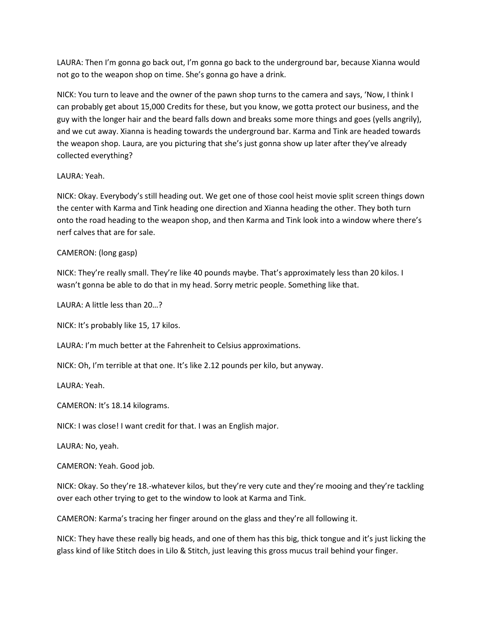LAURA: Then I'm gonna go back out, I'm gonna go back to the underground bar, because Xianna would not go to the weapon shop on time. She's gonna go have a drink.

NICK: You turn to leave and the owner of the pawn shop turns to the camera and says, 'Now, I think I can probably get about 15,000 Credits for these, but you know, we gotta protect our business, and the guy with the longer hair and the beard falls down and breaks some more things and goes (yells angrily), and we cut away. Xianna is heading towards the underground bar. Karma and Tink are headed towards the weapon shop. Laura, are you picturing that she's just gonna show up later after they've already collected everything?

## LAURA: Yeah.

NICK: Okay. Everybody's still heading out. We get one of those cool heist movie split screen things down the center with Karma and Tink heading one direction and Xianna heading the other. They both turn onto the road heading to the weapon shop, and then Karma and Tink look into a window where there's nerf calves that are for sale.

## CAMERON: (long gasp)

NICK: They're really small. They're like 40 pounds maybe. That's approximately less than 20 kilos. I wasn't gonna be able to do that in my head. Sorry metric people. Something like that.

LAURA: A little less than 20…?

NICK: It's probably like 15, 17 kilos.

LAURA: I'm much better at the Fahrenheit to Celsius approximations.

NICK: Oh, I'm terrible at that one. It's like 2.12 pounds per kilo, but anyway.

LAURA: Yeah.

CAMERON: It's 18.14 kilograms.

NICK: I was close! I want credit for that. I was an English major.

LAURA: No, yeah.

CAMERON: Yeah. Good job.

NICK: Okay. So they're 18.-whatever kilos, but they're very cute and they're mooing and they're tackling over each other trying to get to the window to look at Karma and Tink.

CAMERON: Karma's tracing her finger around on the glass and they're all following it.

NICK: They have these really big heads, and one of them has this big, thick tongue and it's just licking the glass kind of like Stitch does in Lilo & Stitch, just leaving this gross mucus trail behind your finger.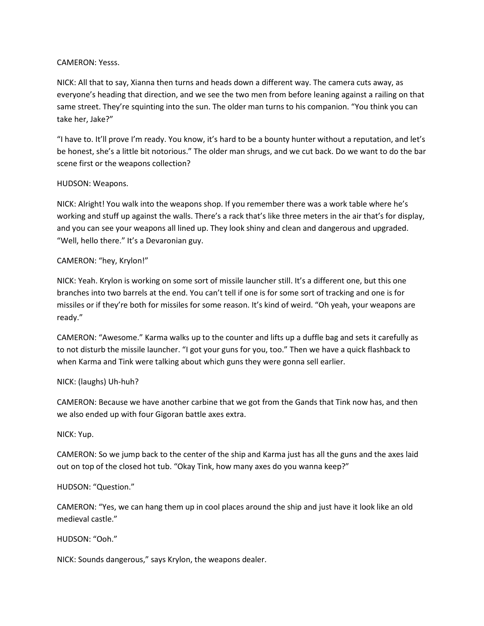### CAMERON: Yesss.

NICK: All that to say, Xianna then turns and heads down a different way. The camera cuts away, as everyone's heading that direction, and we see the two men from before leaning against a railing on that same street. They're squinting into the sun. The older man turns to his companion. "You think you can take her, Jake?"

"I have to. It'll prove I'm ready. You know, it's hard to be a bounty hunter without a reputation, and let's be honest, she's a little bit notorious." The older man shrugs, and we cut back. Do we want to do the bar scene first or the weapons collection?

## HUDSON: Weapons.

NICK: Alright! You walk into the weapons shop. If you remember there was a work table where he's working and stuff up against the walls. There's a rack that's like three meters in the air that's for display, and you can see your weapons all lined up. They look shiny and clean and dangerous and upgraded. "Well, hello there." It's a Devaronian guy.

## CAMERON: "hey, Krylon!"

NICK: Yeah. Krylon is working on some sort of missile launcher still. It's a different one, but this one branches into two barrels at the end. You can't tell if one is for some sort of tracking and one is for missiles or if they're both for missiles for some reason. It's kind of weird. "Oh yeah, your weapons are ready."

CAMERON: "Awesome." Karma walks up to the counter and lifts up a duffle bag and sets it carefully as to not disturb the missile launcher. "I got your guns for you, too." Then we have a quick flashback to when Karma and Tink were talking about which guns they were gonna sell earlier.

## NICK: (laughs) Uh-huh?

CAMERON: Because we have another carbine that we got from the Gands that Tink now has, and then we also ended up with four Gigoran battle axes extra.

## NICK: Yup.

CAMERON: So we jump back to the center of the ship and Karma just has all the guns and the axes laid out on top of the closed hot tub. "Okay Tink, how many axes do you wanna keep?"

## HUDSON: "Question."

CAMERON: "Yes, we can hang them up in cool places around the ship and just have it look like an old medieval castle."

HUDSON: "Ooh."

NICK: Sounds dangerous," says Krylon, the weapons dealer.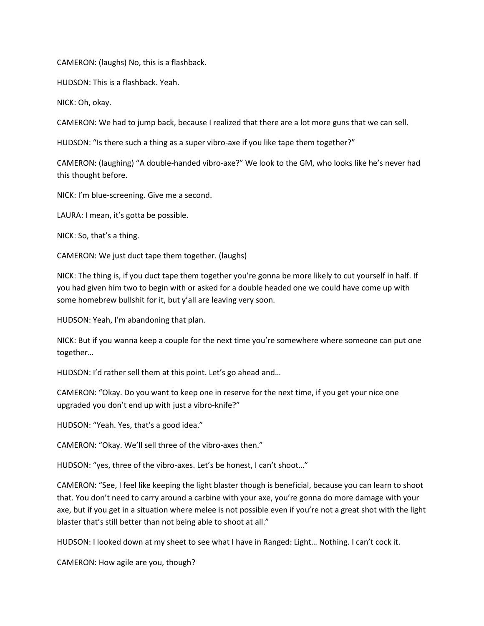CAMERON: (laughs) No, this is a flashback.

HUDSON: This is a flashback. Yeah.

NICK: Oh, okay.

CAMERON: We had to jump back, because I realized that there are a lot more guns that we can sell.

HUDSON: "Is there such a thing as a super vibro-axe if you like tape them together?"

CAMERON: (laughing) "A double-handed vibro-axe?" We look to the GM, who looks like he's never had this thought before.

NICK: I'm blue-screening. Give me a second.

LAURA: I mean, it's gotta be possible.

NICK: So, that's a thing.

CAMERON: We just duct tape them together. (laughs)

NICK: The thing is, if you duct tape them together you're gonna be more likely to cut yourself in half. If you had given him two to begin with or asked for a double headed one we could have come up with some homebrew bullshit for it, but y'all are leaving very soon.

HUDSON: Yeah, I'm abandoning that plan.

NICK: But if you wanna keep a couple for the next time you're somewhere where someone can put one together…

HUDSON: I'd rather sell them at this point. Let's go ahead and…

CAMERON: "Okay. Do you want to keep one in reserve for the next time, if you get your nice one upgraded you don't end up with just a vibro-knife?"

HUDSON: "Yeah. Yes, that's a good idea."

CAMERON: "Okay. We'll sell three of the vibro-axes then."

HUDSON: "yes, three of the vibro-axes. Let's be honest, I can't shoot…"

CAMERON: "See, I feel like keeping the light blaster though is beneficial, because you can learn to shoot that. You don't need to carry around a carbine with your axe, you're gonna do more damage with your axe, but if you get in a situation where melee is not possible even if you're not a great shot with the light blaster that's still better than not being able to shoot at all."

HUDSON: I looked down at my sheet to see what I have in Ranged: Light… Nothing. I can't cock it.

CAMERON: How agile are you, though?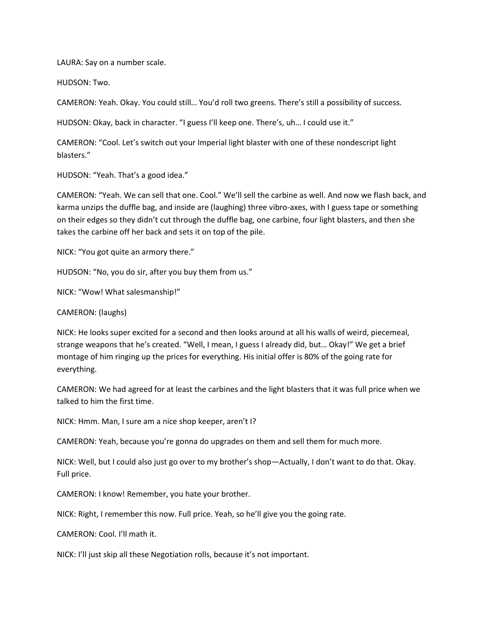LAURA: Say on a number scale.

HUDSON: Two.

CAMERON: Yeah. Okay. You could still… You'd roll two greens. There's still a possibility of success.

HUDSON: Okay, back in character. "I guess I'll keep one. There's, uh… I could use it."

CAMERON: "Cool. Let's switch out your Imperial light blaster with one of these nondescript light blasters."

HUDSON: "Yeah. That's a good idea."

CAMERON: "Yeah. We can sell that one. Cool." We'll sell the carbine as well. And now we flash back, and karma unzips the duffle bag, and inside are (laughing) three vibro-axes, with I guess tape or something on their edges so they didn't cut through the duffle bag, one carbine, four light blasters, and then she takes the carbine off her back and sets it on top of the pile.

NICK: "You got quite an armory there."

HUDSON: "No, you do sir, after you buy them from us."

NICK: "Wow! What salesmanship!"

CAMERON: (laughs)

NICK: He looks super excited for a second and then looks around at all his walls of weird, piecemeal, strange weapons that he's created. "Well, I mean, I guess I already did, but… Okay!" We get a brief montage of him ringing up the prices for everything. His initial offer is 80% of the going rate for everything.

CAMERON: We had agreed for at least the carbines and the light blasters that it was full price when we talked to him the first time.

NICK: Hmm. Man, I sure am a nice shop keeper, aren't I?

CAMERON: Yeah, because you're gonna do upgrades on them and sell them for much more.

NICK: Well, but I could also just go over to my brother's shop—Actually, I don't want to do that. Okay. Full price.

CAMERON: I know! Remember, you hate your brother.

NICK: Right, I remember this now. Full price. Yeah, so he'll give you the going rate.

CAMERON: Cool. I'll math it.

NICK: I'll just skip all these Negotiation rolls, because it's not important.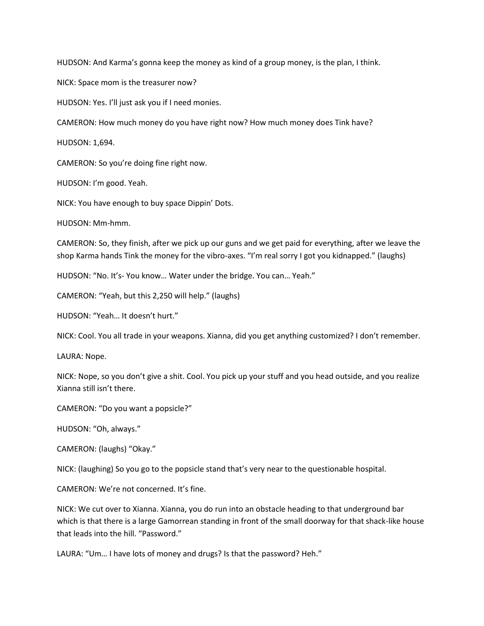HUDSON: And Karma's gonna keep the money as kind of a group money, is the plan, I think.

NICK: Space mom is the treasurer now?

HUDSON: Yes. I'll just ask you if I need monies.

CAMERON: How much money do you have right now? How much money does Tink have?

HUDSON: 1,694.

CAMERON: So you're doing fine right now.

HUDSON: I'm good. Yeah.

NICK: You have enough to buy space Dippin' Dots.

HUDSON: Mm-hmm.

CAMERON: So, they finish, after we pick up our guns and we get paid for everything, after we leave the shop Karma hands Tink the money for the vibro-axes. "I'm real sorry I got you kidnapped." (laughs)

HUDSON: "No. It's- You know… Water under the bridge. You can… Yeah."

CAMERON: "Yeah, but this 2,250 will help." (laughs)

HUDSON: "Yeah… It doesn't hurt."

NICK: Cool. You all trade in your weapons. Xianna, did you get anything customized? I don't remember.

LAURA: Nope.

NICK: Nope, so you don't give a shit. Cool. You pick up your stuff and you head outside, and you realize Xianna still isn't there.

CAMERON: "Do you want a popsicle?"

HUDSON: "Oh, always."

CAMERON: (laughs) "Okay."

NICK: (laughing) So you go to the popsicle stand that's very near to the questionable hospital.

CAMERON: We're not concerned. It's fine.

NICK: We cut over to Xianna. Xianna, you do run into an obstacle heading to that underground bar which is that there is a large Gamorrean standing in front of the small doorway for that shack-like house that leads into the hill. "Password."

LAURA: "Um… I have lots of money and drugs? Is that the password? Heh."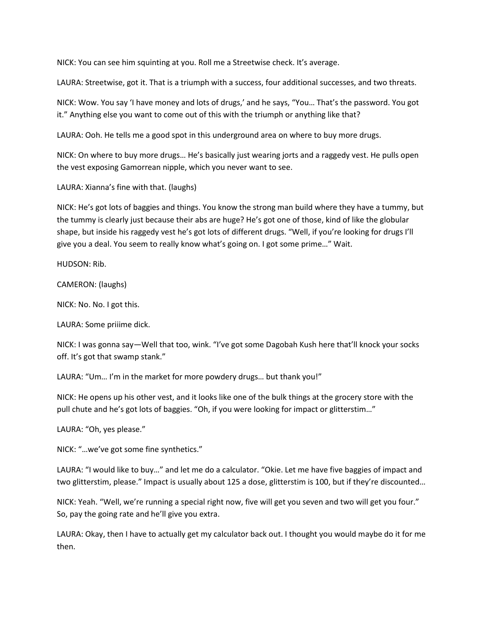NICK: You can see him squinting at you. Roll me a Streetwise check. It's average.

LAURA: Streetwise, got it. That is a triumph with a success, four additional successes, and two threats.

NICK: Wow. You say 'I have money and lots of drugs,' and he says, "You… That's the password. You got it." Anything else you want to come out of this with the triumph or anything like that?

LAURA: Ooh. He tells me a good spot in this underground area on where to buy more drugs.

NICK: On where to buy more drugs… He's basically just wearing jorts and a raggedy vest. He pulls open the vest exposing Gamorrean nipple, which you never want to see.

LAURA: Xianna's fine with that. (laughs)

NICK: He's got lots of baggies and things. You know the strong man build where they have a tummy, but the tummy is clearly just because their abs are huge? He's got one of those, kind of like the globular shape, but inside his raggedy vest he's got lots of different drugs. "Well, if you're looking for drugs I'll give you a deal. You seem to really know what's going on. I got some prime…" Wait.

HUDSON: Rib.

CAMERON: (laughs)

NICK: No. No. I got this.

LAURA: Some priiime dick.

NICK: I was gonna say—Well that too, wink. "I've got some Dagobah Kush here that'll knock your socks off. It's got that swamp stank."

LAURA: "Um… I'm in the market for more powdery drugs… but thank you!"

NICK: He opens up his other vest, and it looks like one of the bulk things at the grocery store with the pull chute and he's got lots of baggies. "Oh, if you were looking for impact or glitterstim…"

LAURA: "Oh, yes please."

NICK: "…we've got some fine synthetics."

LAURA: "I would like to buy…" and let me do a calculator. "Okie. Let me have five baggies of impact and two glitterstim, please." Impact is usually about 125 a dose, glitterstim is 100, but if they're discounted…

NICK: Yeah. "Well, we're running a special right now, five will get you seven and two will get you four." So, pay the going rate and he'll give you extra.

LAURA: Okay, then I have to actually get my calculator back out. I thought you would maybe do it for me then.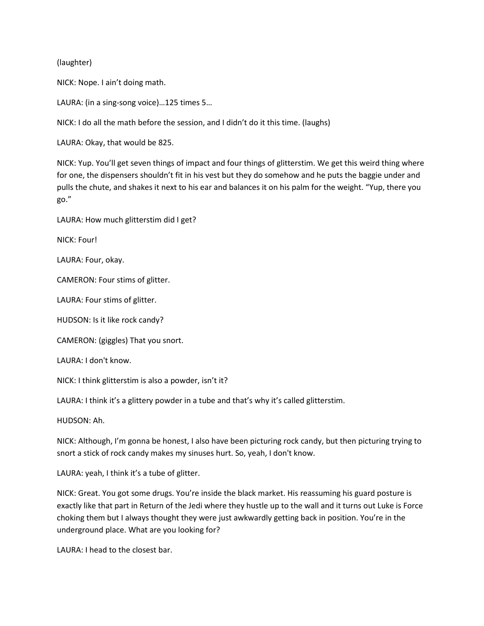(laughter)

NICK: Nope. I ain't doing math.

LAURA: (in a sing-song voice)…125 times 5…

NICK: I do all the math before the session, and I didn't do it this time. (laughs)

LAURA: Okay, that would be 825.

NICK: Yup. You'll get seven things of impact and four things of glitterstim. We get this weird thing where for one, the dispensers shouldn't fit in his vest but they do somehow and he puts the baggie under and pulls the chute, and shakes it next to his ear and balances it on his palm for the weight. "Yup, there you go."

LAURA: How much glitterstim did I get?

NICK: Four!

LAURA: Four, okay.

CAMERON: Four stims of glitter.

LAURA: Four stims of glitter.

HUDSON: Is it like rock candy?

CAMERON: (giggles) That you snort.

LAURA: I don't know.

NICK: I think glitterstim is also a powder, isn't it?

LAURA: I think it's a glittery powder in a tube and that's why it's called glitterstim.

HUDSON: Ah.

NICK: Although, I'm gonna be honest, I also have been picturing rock candy, but then picturing trying to snort a stick of rock candy makes my sinuses hurt. So, yeah, I don't know.

LAURA: yeah, I think it's a tube of glitter.

NICK: Great. You got some drugs. You're inside the black market. His reassuming his guard posture is exactly like that part in Return of the Jedi where they hustle up to the wall and it turns out Luke is Force choking them but I always thought they were just awkwardly getting back in position. You're in the underground place. What are you looking for?

LAURA: I head to the closest bar.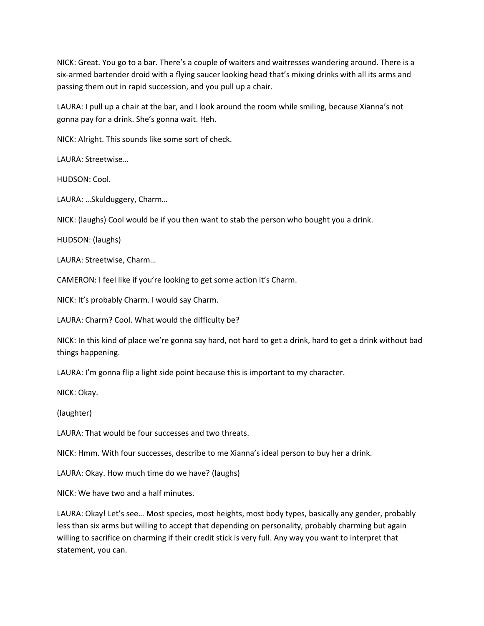NICK: Great. You go to a bar. There's a couple of waiters and waitresses wandering around. There is a six-armed bartender droid with a flying saucer looking head that's mixing drinks with all its arms and passing them out in rapid succession, and you pull up a chair.

LAURA: I pull up a chair at the bar, and I look around the room while smiling, because Xianna's not gonna pay for a drink. She's gonna wait. Heh.

NICK: Alright. This sounds like some sort of check.

LAURA: Streetwise…

HUDSON: Cool.

LAURA: …Skulduggery, Charm…

NICK: (laughs) Cool would be if you then want to stab the person who bought you a drink.

HUDSON: (laughs)

LAURA: Streetwise, Charm…

CAMERON: I feel like if you're looking to get some action it's Charm.

NICK: It's probably Charm. I would say Charm.

LAURA: Charm? Cool. What would the difficulty be?

NICK: In this kind of place we're gonna say hard, not hard to get a drink, hard to get a drink without bad things happening.

LAURA: I'm gonna flip a light side point because this is important to my character.

NICK: Okay.

(laughter)

LAURA: That would be four successes and two threats.

NICK: Hmm. With four successes, describe to me Xianna's ideal person to buy her a drink.

LAURA: Okay. How much time do we have? (laughs)

NICK: We have two and a half minutes.

LAURA: Okay! Let's see… Most species, most heights, most body types, basically any gender, probably less than six arms but willing to accept that depending on personality, probably charming but again willing to sacrifice on charming if their credit stick is very full. Any way you want to interpret that statement, you can.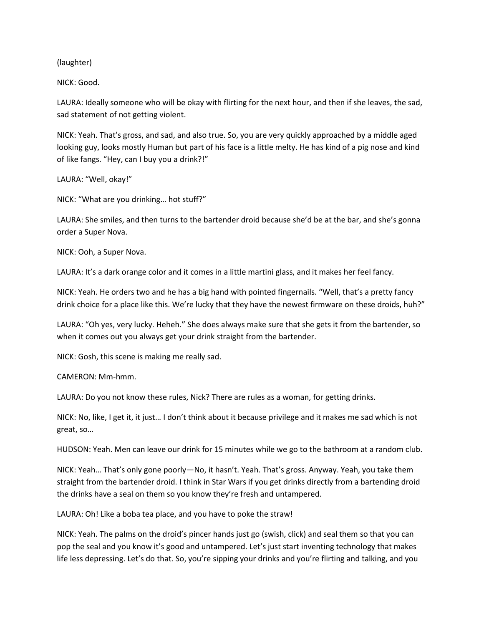(laughter)

NICK: Good.

LAURA: Ideally someone who will be okay with flirting for the next hour, and then if she leaves, the sad, sad statement of not getting violent.

NICK: Yeah. That's gross, and sad, and also true. So, you are very quickly approached by a middle aged looking guy, looks mostly Human but part of his face is a little melty. He has kind of a pig nose and kind of like fangs. "Hey, can I buy you a drink?!"

LAURA: "Well, okay!"

NICK: "What are you drinking… hot stuff?"

LAURA: She smiles, and then turns to the bartender droid because she'd be at the bar, and she's gonna order a Super Nova.

NICK: Ooh, a Super Nova.

LAURA: It's a dark orange color and it comes in a little martini glass, and it makes her feel fancy.

NICK: Yeah. He orders two and he has a big hand with pointed fingernails. "Well, that's a pretty fancy drink choice for a place like this. We're lucky that they have the newest firmware on these droids, huh?"

LAURA: "Oh yes, very lucky. Heheh." She does always make sure that she gets it from the bartender, so when it comes out you always get your drink straight from the bartender.

NICK: Gosh, this scene is making me really sad.

CAMERON: Mm-hmm.

LAURA: Do you not know these rules, Nick? There are rules as a woman, for getting drinks.

NICK: No, like, I get it, it just… I don't think about it because privilege and it makes me sad which is not great, so…

HUDSON: Yeah. Men can leave our drink for 15 minutes while we go to the bathroom at a random club.

NICK: Yeah… That's only gone poorly—No, it hasn't. Yeah. That's gross. Anyway. Yeah, you take them straight from the bartender droid. I think in Star Wars if you get drinks directly from a bartending droid the drinks have a seal on them so you know they're fresh and untampered.

LAURA: Oh! Like a boba tea place, and you have to poke the straw!

NICK: Yeah. The palms on the droid's pincer hands just go (swish, click) and seal them so that you can pop the seal and you know it's good and untampered. Let's just start inventing technology that makes life less depressing. Let's do that. So, you're sipping your drinks and you're flirting and talking, and you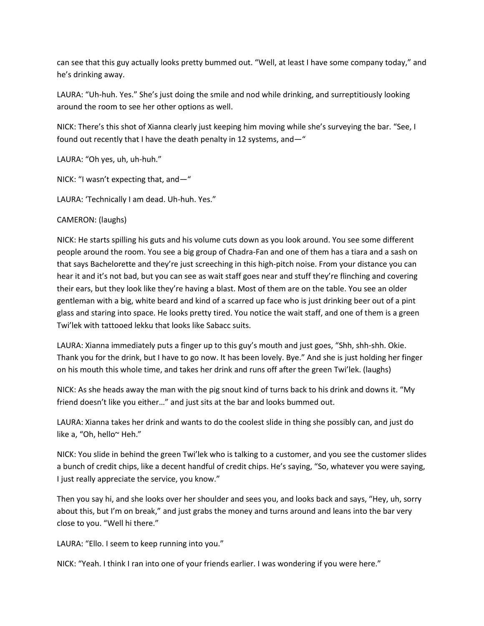can see that this guy actually looks pretty bummed out. "Well, at least I have some company today," and he's drinking away.

LAURA: "Uh-huh. Yes." She's just doing the smile and nod while drinking, and surreptitiously looking around the room to see her other options as well.

NICK: There's this shot of Xianna clearly just keeping him moving while she's surveying the bar. "See, I found out recently that I have the death penalty in 12 systems, and—"

LAURA: "Oh yes, uh, uh-huh."

NICK: "I wasn't expecting that, and—"

LAURA: 'Technically I am dead. Uh-huh. Yes."

CAMERON: (laughs)

NICK: He starts spilling his guts and his volume cuts down as you look around. You see some different people around the room. You see a big group of Chadra-Fan and one of them has a tiara and a sash on that says Bachelorette and they're just screeching in this high-pitch noise. From your distance you can hear it and it's not bad, but you can see as wait staff goes near and stuff they're flinching and covering their ears, but they look like they're having a blast. Most of them are on the table. You see an older gentleman with a big, white beard and kind of a scarred up face who is just drinking beer out of a pint glass and staring into space. He looks pretty tired. You notice the wait staff, and one of them is a green Twi'lek with tattooed lekku that looks like Sabacc suits.

LAURA: Xianna immediately puts a finger up to this guy's mouth and just goes, "Shh, shh-shh. Okie. Thank you for the drink, but I have to go now. It has been lovely. Bye." And she is just holding her finger on his mouth this whole time, and takes her drink and runs off after the green Twi'lek. (laughs)

NICK: As she heads away the man with the pig snout kind of turns back to his drink and downs it. "My friend doesn't like you either…" and just sits at the bar and looks bummed out.

LAURA: Xianna takes her drink and wants to do the coolest slide in thing she possibly can, and just do like a, "Oh, hello~ Heh."

NICK: You slide in behind the green Twi'lek who is talking to a customer, and you see the customer slides a bunch of credit chips, like a decent handful of credit chips. He's saying, "So, whatever you were saying, I just really appreciate the service, you know."

Then you say hi, and she looks over her shoulder and sees you, and looks back and says, "Hey, uh, sorry about this, but I'm on break," and just grabs the money and turns around and leans into the bar very close to you. "Well hi there."

LAURA: "Ello. I seem to keep running into you."

NICK: "Yeah. I think I ran into one of your friends earlier. I was wondering if you were here."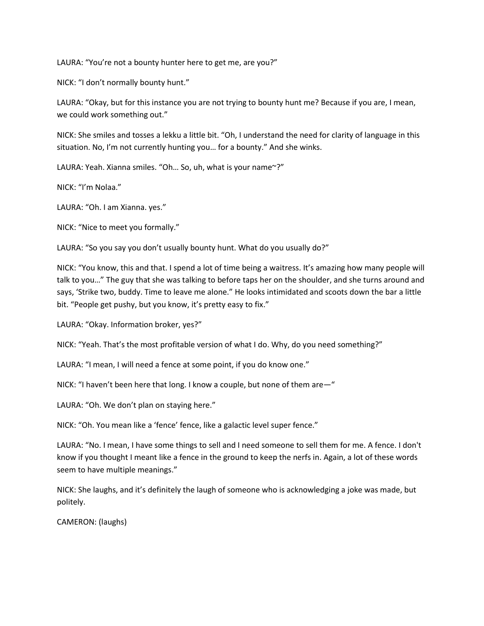LAURA: "You're not a bounty hunter here to get me, are you?"

NICK: "I don't normally bounty hunt."

LAURA: "Okay, but for this instance you are not trying to bounty hunt me? Because if you are, I mean, we could work something out."

NICK: She smiles and tosses a lekku a little bit. "Oh, I understand the need for clarity of language in this situation. No, I'm not currently hunting you… for a bounty." And she winks.

LAURA: Yeah. Xianna smiles. "Oh… So, uh, what is your name~?"

NICK: "I'm Nolaa."

LAURA: "Oh. I am Xianna. yes."

NICK: "Nice to meet you formally."

LAURA: "So you say you don't usually bounty hunt. What do you usually do?"

NICK: "You know, this and that. I spend a lot of time being a waitress. It's amazing how many people will talk to you…" The guy that she was talking to before taps her on the shoulder, and she turns around and says, 'Strike two, buddy. Time to leave me alone." He looks intimidated and scoots down the bar a little bit. "People get pushy, but you know, it's pretty easy to fix."

LAURA: "Okay. Information broker, yes?"

NICK: "Yeah. That's the most profitable version of what I do. Why, do you need something?"

LAURA: "I mean, I will need a fence at some point, if you do know one."

NICK: "I haven't been here that long. I know a couple, but none of them are—"

LAURA: "Oh. We don't plan on staying here."

NICK: "Oh. You mean like a 'fence' fence, like a galactic level super fence."

LAURA: "No. I mean, I have some things to sell and I need someone to sell them for me. A fence. I don't know if you thought I meant like a fence in the ground to keep the nerfs in. Again, a lot of these words seem to have multiple meanings."

NICK: She laughs, and it's definitely the laugh of someone who is acknowledging a joke was made, but politely.

CAMERON: (laughs)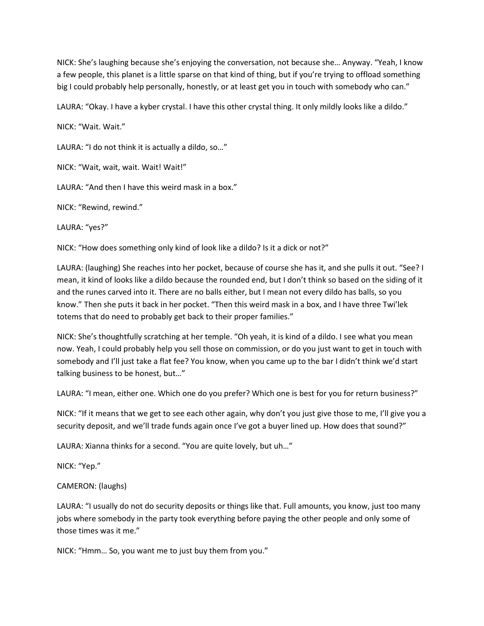NICK: She's laughing because she's enjoying the conversation, not because she… Anyway. "Yeah, I know a few people, this planet is a little sparse on that kind of thing, but if you're trying to offload something big I could probably help personally, honestly, or at least get you in touch with somebody who can."

LAURA: "Okay. I have a kyber crystal. I have this other crystal thing. It only mildly looks like a dildo."

NICK: "Wait. Wait."

LAURA: "I do not think it is actually a dildo, so…"

NICK: "Wait, wait, wait. Wait! Wait!"

LAURA: "And then I have this weird mask in a box."

NICK: "Rewind, rewind."

LAURA: "yes?"

NICK: "How does something only kind of look like a dildo? Is it a dick or not?"

LAURA: (laughing) She reaches into her pocket, because of course she has it, and she pulls it out. "See? I mean, it kind of looks like a dildo because the rounded end, but I don't think so based on the siding of it and the runes carved into it. There are no balls either, but I mean not every dildo has balls, so you know." Then she puts it back in her pocket. "Then this weird mask in a box, and I have three Twi'lek totems that do need to probably get back to their proper families."

NICK: She's thoughtfully scratching at her temple. "Oh yeah, it is kind of a dildo. I see what you mean now. Yeah, I could probably help you sell those on commission, or do you just want to get in touch with somebody and I'll just take a flat fee? You know, when you came up to the bar I didn't think we'd start talking business to be honest, but…"

LAURA: "I mean, either one. Which one do you prefer? Which one is best for you for return business?"

NICK: "If it means that we get to see each other again, why don't you just give those to me, I'll give you a security deposit, and we'll trade funds again once I've got a buyer lined up. How does that sound?"

LAURA: Xianna thinks for a second. "You are quite lovely, but uh…"

NICK: "Yep."

## CAMERON: (laughs)

LAURA: "I usually do not do security deposits or things like that. Full amounts, you know, just too many jobs where somebody in the party took everything before paying the other people and only some of those times was it me."

NICK: "Hmm… So, you want me to just buy them from you."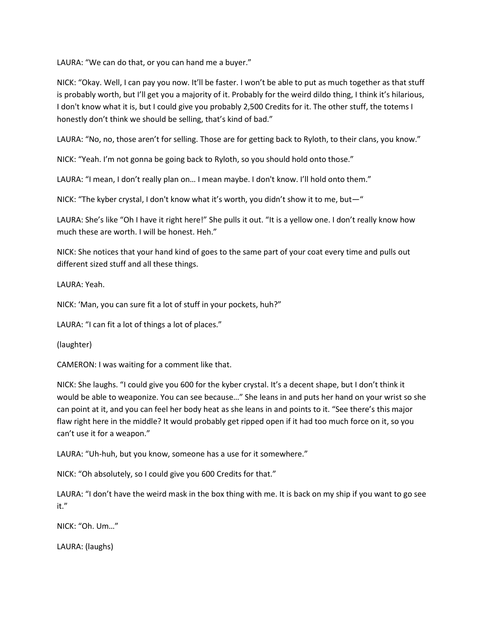LAURA: "We can do that, or you can hand me a buyer."

NICK: "Okay. Well, I can pay you now. It'll be faster. I won't be able to put as much together as that stuff is probably worth, but I'll get you a majority of it. Probably for the weird dildo thing, I think it's hilarious, I don't know what it is, but I could give you probably 2,500 Credits for it. The other stuff, the totems I honestly don't think we should be selling, that's kind of bad."

LAURA: "No, no, those aren't for selling. Those are for getting back to Ryloth, to their clans, you know."

NICK: "Yeah. I'm not gonna be going back to Ryloth, so you should hold onto those."

LAURA: "I mean, I don't really plan on… I mean maybe. I don't know. I'll hold onto them."

NICK: "The kyber crystal, I don't know what it's worth, you didn't show it to me, but—"

LAURA: She's like "Oh I have it right here!" She pulls it out. "It is a yellow one. I don't really know how much these are worth. I will be honest. Heh."

NICK: She notices that your hand kind of goes to the same part of your coat every time and pulls out different sized stuff and all these things.

LAURA: Yeah.

NICK: 'Man, you can sure fit a lot of stuff in your pockets, huh?"

LAURA: "I can fit a lot of things a lot of places."

(laughter)

CAMERON: I was waiting for a comment like that.

NICK: She laughs. "I could give you 600 for the kyber crystal. It's a decent shape, but I don't think it would be able to weaponize. You can see because…" She leans in and puts her hand on your wrist so she can point at it, and you can feel her body heat as she leans in and points to it. "See there's this major flaw right here in the middle? It would probably get ripped open if it had too much force on it, so you can't use it for a weapon."

LAURA: "Uh-huh, but you know, someone has a use for it somewhere."

NICK: "Oh absolutely, so I could give you 600 Credits for that."

LAURA: "I don't have the weird mask in the box thing with me. It is back on my ship if you want to go see it."

NICK: "Oh. Um…"

LAURA: (laughs)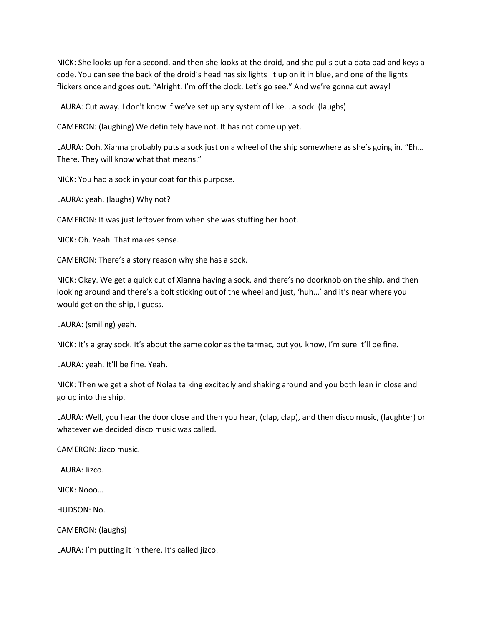NICK: She looks up for a second, and then she looks at the droid, and she pulls out a data pad and keys a code. You can see the back of the droid's head has six lights lit up on it in blue, and one of the lights flickers once and goes out. "Alright. I'm off the clock. Let's go see." And we're gonna cut away!

LAURA: Cut away. I don't know if we've set up any system of like… a sock. (laughs)

CAMERON: (laughing) We definitely have not. It has not come up yet.

LAURA: Ooh. Xianna probably puts a sock just on a wheel of the ship somewhere as she's going in. "Eh… There. They will know what that means."

NICK: You had a sock in your coat for this purpose.

LAURA: yeah. (laughs) Why not?

CAMERON: It was just leftover from when she was stuffing her boot.

NICK: Oh. Yeah. That makes sense.

CAMERON: There's a story reason why she has a sock.

NICK: Okay. We get a quick cut of Xianna having a sock, and there's no doorknob on the ship, and then looking around and there's a bolt sticking out of the wheel and just, 'huh…' and it's near where you would get on the ship, I guess.

LAURA: (smiling) yeah.

NICK: It's a gray sock. It's about the same color as the tarmac, but you know, I'm sure it'll be fine.

LAURA: yeah. It'll be fine. Yeah.

NICK: Then we get a shot of Nolaa talking excitedly and shaking around and you both lean in close and go up into the ship.

LAURA: Well, you hear the door close and then you hear, (clap, clap), and then disco music, (laughter) or whatever we decided disco music was called.

CAMERON: Jizco music.

LAURA: Jizco.

NICK: Nooo…

HUDSON: No.

CAMERON: (laughs)

LAURA: I'm putting it in there. It's called jizco.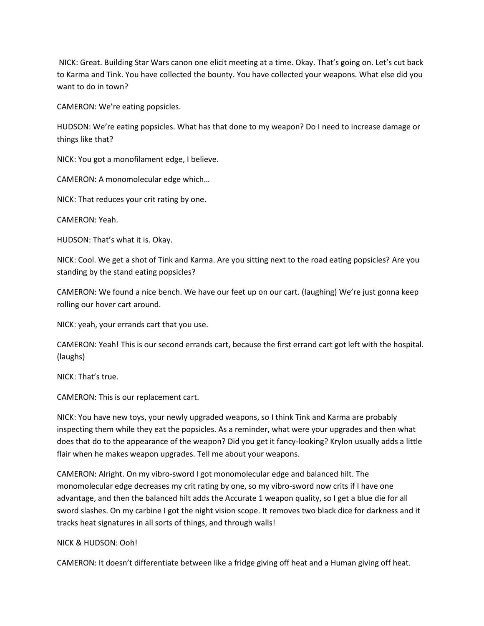NICK: Great. Building Star Wars canon one elicit meeting at a time. Okay. That's going on. Let's cut back to Karma and Tink. You have collected the bounty. You have collected your weapons. What else did you want to do in town?

CAMERON: We're eating popsicles.

HUDSON: We're eating popsicles. What has that done to my weapon? Do I need to increase damage or things like that?

NICK: You got a monofilament edge, I believe.

CAMERON: A monomolecular edge which…

NICK: That reduces your crit rating by one.

CAMERON: Yeah.

HUDSON: That's what it is. Okay.

NICK: Cool. We get a shot of Tink and Karma. Are you sitting next to the road eating popsicles? Are you standing by the stand eating popsicles?

CAMERON: We found a nice bench. We have our feet up on our cart. (laughing) We're just gonna keep rolling our hover cart around.

NICK: yeah, your errands cart that you use.

CAMERON: Yeah! This is our second errands cart, because the first errand cart got left with the hospital. (laughs)

NICK: That's true.

CAMERON: This is our replacement cart.

NICK: You have new toys, your newly upgraded weapons, so I think Tink and Karma are probably inspecting them while they eat the popsicles. As a reminder, what were your upgrades and then what does that do to the appearance of the weapon? Did you get it fancy-looking? Krylon usually adds a little flair when he makes weapon upgrades. Tell me about your weapons.

CAMERON: Alright. On my vibro-sword I got monomolecular edge and balanced hilt. The monomolecular edge decreases my crit rating by one, so my vibro-sword now crits if I have one advantage, and then the balanced hilt adds the Accurate 1 weapon quality, so I get a blue die for all sword slashes. On my carbine I got the night vision scope. It removes two black dice for darkness and it tracks heat signatures in all sorts of things, and through walls!

#### NICK & HUDSON: Ooh!

CAMERON: It doesn't differentiate between like a fridge giving off heat and a Human giving off heat.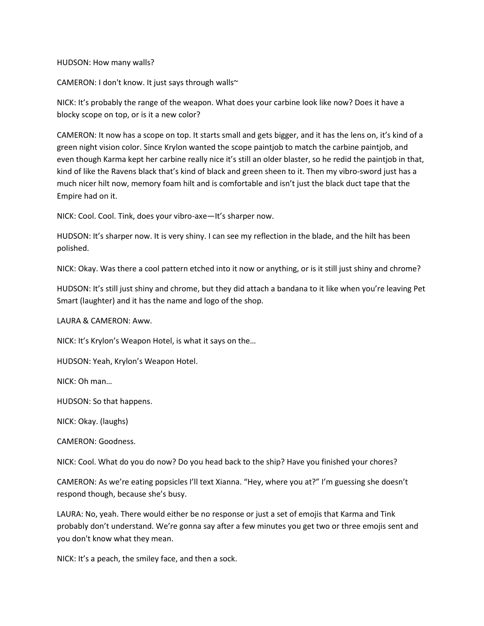HUDSON: How many walls?

CAMERON: I don't know. It just says through walls~

NICK: It's probably the range of the weapon. What does your carbine look like now? Does it have a blocky scope on top, or is it a new color?

CAMERON: It now has a scope on top. It starts small and gets bigger, and it has the lens on, it's kind of a green night vision color. Since Krylon wanted the scope paintjob to match the carbine paintjob, and even though Karma kept her carbine really nice it's still an older blaster, so he redid the paintjob in that, kind of like the Ravens black that's kind of black and green sheen to it. Then my vibro-sword just has a much nicer hilt now, memory foam hilt and is comfortable and isn't just the black duct tape that the Empire had on it.

NICK: Cool. Cool. Tink, does your vibro-axe—It's sharper now.

HUDSON: It's sharper now. It is very shiny. I can see my reflection in the blade, and the hilt has been polished.

NICK: Okay. Was there a cool pattern etched into it now or anything, or is it still just shiny and chrome?

HUDSON: It's still just shiny and chrome, but they did attach a bandana to it like when you're leaving Pet Smart (laughter) and it has the name and logo of the shop.

LAURA & CAMERON: Aww.

NICK: It's Krylon's Weapon Hotel, is what it says on the…

HUDSON: Yeah, Krylon's Weapon Hotel.

NICK: Oh man…

HUDSON: So that happens.

NICK: Okay. (laughs)

CAMERON: Goodness.

NICK: Cool. What do you do now? Do you head back to the ship? Have you finished your chores?

CAMERON: As we're eating popsicles I'll text Xianna. "Hey, where you at?" I'm guessing she doesn't respond though, because she's busy.

LAURA: No, yeah. There would either be no response or just a set of emojis that Karma and Tink probably don't understand. We're gonna say after a few minutes you get two or three emojis sent and you don't know what they mean.

NICK: It's a peach, the smiley face, and then a sock.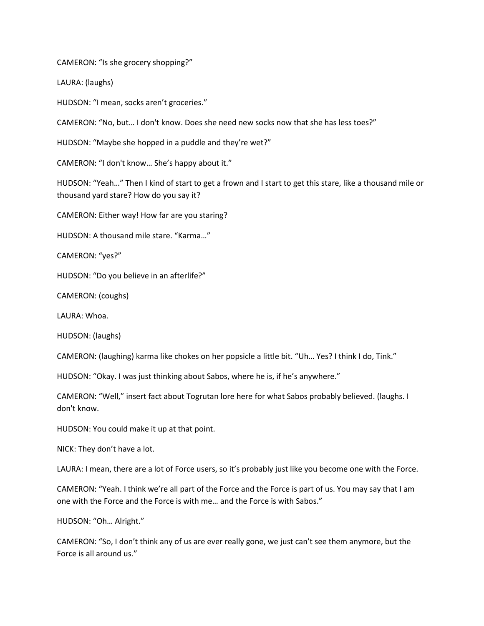CAMERON: "Is she grocery shopping?"

LAURA: (laughs)

HUDSON: "I mean, socks aren't groceries."

CAMERON: "No, but… I don't know. Does she need new socks now that she has less toes?"

HUDSON: "Maybe she hopped in a puddle and they're wet?"

CAMERON: "I don't know… She's happy about it."

HUDSON: "Yeah…" Then I kind of start to get a frown and I start to get this stare, like a thousand mile or thousand yard stare? How do you say it?

CAMERON: Either way! How far are you staring?

HUDSON: A thousand mile stare. "Karma…"

CAMERON: "yes?"

HUDSON: "Do you believe in an afterlife?"

CAMERON: (coughs)

LAURA: Whoa.

HUDSON: (laughs)

CAMERON: (laughing) karma like chokes on her popsicle a little bit. "Uh… Yes? I think I do, Tink."

HUDSON: "Okay. I was just thinking about Sabos, where he is, if he's anywhere."

CAMERON: "Well," insert fact about Togrutan lore here for what Sabos probably believed. (laughs. I don't know.

HUDSON: You could make it up at that point.

NICK: They don't have a lot.

LAURA: I mean, there are a lot of Force users, so it's probably just like you become one with the Force.

CAMERON: "Yeah. I think we're all part of the Force and the Force is part of us. You may say that I am one with the Force and the Force is with me… and the Force is with Sabos."

HUDSON: "Oh… Alright."

CAMERON: "So, I don't think any of us are ever really gone, we just can't see them anymore, but the Force is all around us."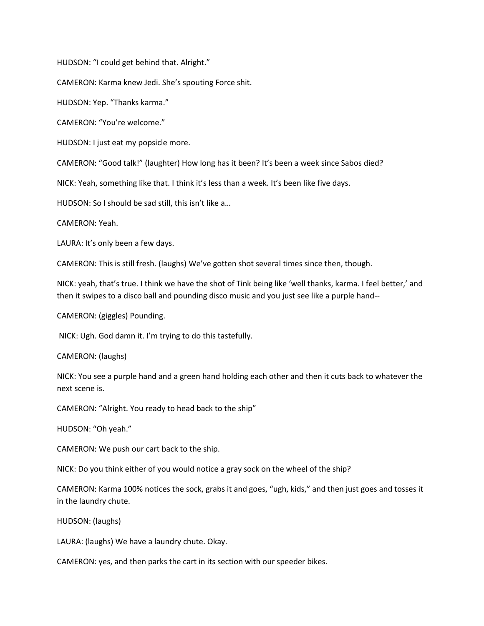HUDSON: "I could get behind that. Alright."

CAMERON: Karma knew Jedi. She's spouting Force shit.

HUDSON: Yep. "Thanks karma."

CAMERON: "You're welcome."

HUDSON: I just eat my popsicle more.

CAMERON: "Good talk!" (laughter) How long has it been? It's been a week since Sabos died?

NICK: Yeah, something like that. I think it's less than a week. It's been like five days.

HUDSON: So I should be sad still, this isn't like a…

CAMERON: Yeah.

LAURA: It's only been a few days.

CAMERON: This is still fresh. (laughs) We've gotten shot several times since then, though.

NICK: yeah, that's true. I think we have the shot of Tink being like 'well thanks, karma. I feel better,' and then it swipes to a disco ball and pounding disco music and you just see like a purple hand--

CAMERON: (giggles) Pounding.

NICK: Ugh. God damn it. I'm trying to do this tastefully.

CAMERON: (laughs)

NICK: You see a purple hand and a green hand holding each other and then it cuts back to whatever the next scene is.

CAMERON: "Alright. You ready to head back to the ship"

HUDSON: "Oh yeah."

CAMERON: We push our cart back to the ship.

NICK: Do you think either of you would notice a gray sock on the wheel of the ship?

CAMERON: Karma 100% notices the sock, grabs it and goes, "ugh, kids," and then just goes and tosses it in the laundry chute.

HUDSON: (laughs)

LAURA: (laughs) We have a laundry chute. Okay.

CAMERON: yes, and then parks the cart in its section with our speeder bikes.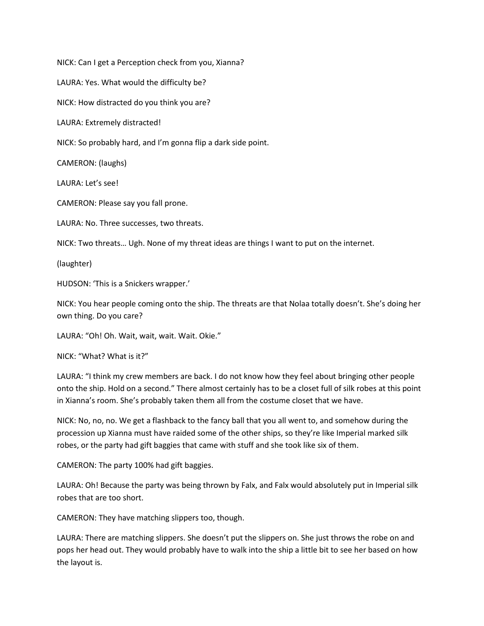NICK: Can I get a Perception check from you, Xianna?

LAURA: Yes. What would the difficulty be?

NICK: How distracted do you think you are?

LAURA: Extremely distracted!

NICK: So probably hard, and I'm gonna flip a dark side point.

CAMERON: (laughs)

LAURA: Let's see!

CAMERON: Please say you fall prone.

LAURA: No. Three successes, two threats.

NICK: Two threats… Ugh. None of my threat ideas are things I want to put on the internet.

(laughter)

HUDSON: 'This is a Snickers wrapper.'

NICK: You hear people coming onto the ship. The threats are that Nolaa totally doesn't. She's doing her own thing. Do you care?

LAURA: "Oh! Oh. Wait, wait, wait. Wait. Okie."

NICK: "What? What is it?"

LAURA: "I think my crew members are back. I do not know how they feel about bringing other people onto the ship. Hold on a second." There almost certainly has to be a closet full of silk robes at this point in Xianna's room. She's probably taken them all from the costume closet that we have.

NICK: No, no, no. We get a flashback to the fancy ball that you all went to, and somehow during the procession up Xianna must have raided some of the other ships, so they're like Imperial marked silk robes, or the party had gift baggies that came with stuff and she took like six of them.

CAMERON: The party 100% had gift baggies.

LAURA: Oh! Because the party was being thrown by Falx, and Falx would absolutely put in Imperial silk robes that are too short.

CAMERON: They have matching slippers too, though.

LAURA: There are matching slippers. She doesn't put the slippers on. She just throws the robe on and pops her head out. They would probably have to walk into the ship a little bit to see her based on how the layout is.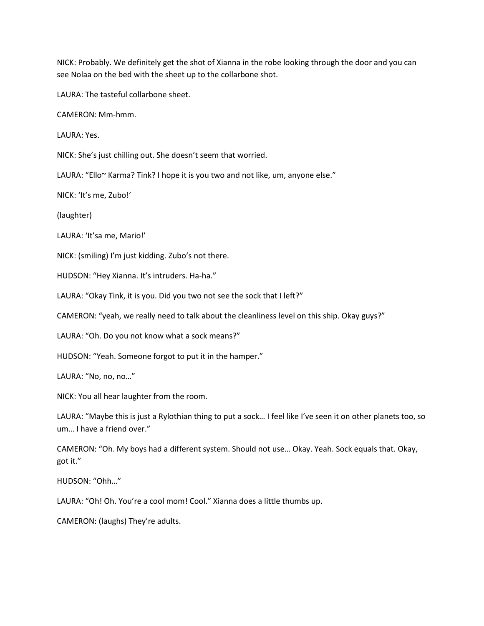NICK: Probably. We definitely get the shot of Xianna in the robe looking through the door and you can see Nolaa on the bed with the sheet up to the collarbone shot.

LAURA: The tasteful collarbone sheet.

CAMERON: Mm-hmm.

LAURA: Yes.

NICK: She's just chilling out. She doesn't seem that worried.

LAURA: "Ello~ Karma? Tink? I hope it is you two and not like, um, anyone else."

NICK: 'It's me, Zubo!'

(laughter)

LAURA: 'It'sa me, Mario!'

NICK: (smiling) I'm just kidding. Zubo's not there.

HUDSON: "Hey Xianna. It's intruders. Ha-ha."

LAURA: "Okay Tink, it is you. Did you two not see the sock that I left?"

CAMERON: "yeah, we really need to talk about the cleanliness level on this ship. Okay guys?"

LAURA: "Oh. Do you not know what a sock means?"

HUDSON: "Yeah. Someone forgot to put it in the hamper."

LAURA: "No, no, no…"

NICK: You all hear laughter from the room.

LAURA: "Maybe this is just a Rylothian thing to put a sock… I feel like I've seen it on other planets too, so um… I have a friend over."

CAMERON: "Oh. My boys had a different system. Should not use… Okay. Yeah. Sock equals that. Okay, got it."

HUDSON: "Ohh…"

LAURA: "Oh! Oh. You're a cool mom! Cool." Xianna does a little thumbs up.

CAMERON: (laughs) They're adults.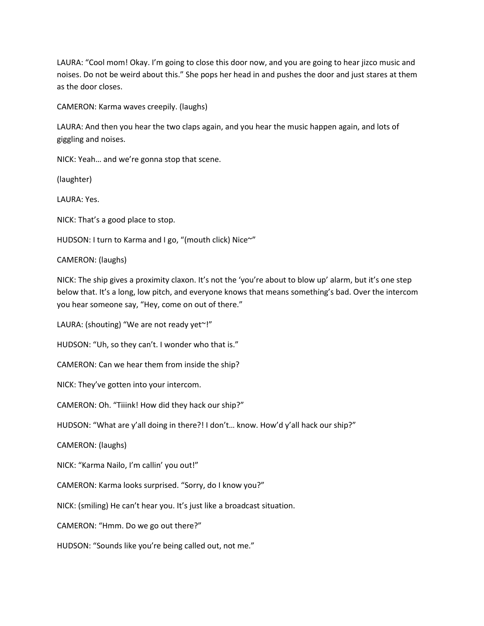LAURA: "Cool mom! Okay. I'm going to close this door now, and you are going to hear jizco music and noises. Do not be weird about this." She pops her head in and pushes the door and just stares at them as the door closes.

CAMERON: Karma waves creepily. (laughs)

LAURA: And then you hear the two claps again, and you hear the music happen again, and lots of giggling and noises.

NICK: Yeah… and we're gonna stop that scene.

(laughter)

LAURA: Yes.

NICK: That's a good place to stop.

HUDSON: I turn to Karma and I go, "(mouth click) Nice~"

CAMERON: (laughs)

NICK: The ship gives a proximity claxon. It's not the 'you're about to blow up' alarm, but it's one step below that. It's a long, low pitch, and everyone knows that means something's bad. Over the intercom you hear someone say, "Hey, come on out of there."

LAURA: (shouting) "We are not ready yet"!"

HUDSON: "Uh, so they can't. I wonder who that is."

CAMERON: Can we hear them from inside the ship?

NICK: They've gotten into your intercom.

CAMERON: Oh. "Tiiink! How did they hack our ship?"

HUDSON: "What are y'all doing in there?! I don't… know. How'd y'all hack our ship?"

CAMERON: (laughs)

NICK: "Karma Nailo, I'm callin' you out!"

CAMERON: Karma looks surprised. "Sorry, do I know you?"

NICK: (smiling) He can't hear you. It's just like a broadcast situation.

CAMERON: "Hmm. Do we go out there?"

HUDSON: "Sounds like you're being called out, not me."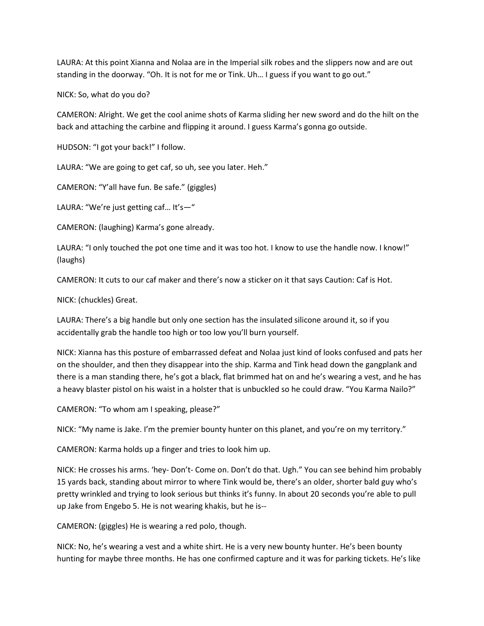LAURA: At this point Xianna and Nolaa are in the Imperial silk robes and the slippers now and are out standing in the doorway. "Oh. It is not for me or Tink. Uh… I guess if you want to go out."

NICK: So, what do you do?

CAMERON: Alright. We get the cool anime shots of Karma sliding her new sword and do the hilt on the back and attaching the carbine and flipping it around. I guess Karma's gonna go outside.

HUDSON: "I got your back!" I follow.

LAURA: "We are going to get caf, so uh, see you later. Heh."

CAMERON: "Y'all have fun. Be safe." (giggles)

LAURA: "We're just getting caf… It's—"

CAMERON: (laughing) Karma's gone already.

LAURA: "I only touched the pot one time and it was too hot. I know to use the handle now. I know!" (laughs)

CAMERON: It cuts to our caf maker and there's now a sticker on it that says Caution: Caf is Hot.

NICK: (chuckles) Great.

LAURA: There's a big handle but only one section has the insulated silicone around it, so if you accidentally grab the handle too high or too low you'll burn yourself.

NICK: Xianna has this posture of embarrassed defeat and Nolaa just kind of looks confused and pats her on the shoulder, and then they disappear into the ship. Karma and Tink head down the gangplank and there is a man standing there, he's got a black, flat brimmed hat on and he's wearing a vest, and he has a heavy blaster pistol on his waist in a holster that is unbuckled so he could draw. "You Karma Nailo?"

CAMERON: "To whom am I speaking, please?"

NICK: "My name is Jake. I'm the premier bounty hunter on this planet, and you're on my territory."

CAMERON: Karma holds up a finger and tries to look him up.

NICK: He crosses his arms. 'hey- Don't- Come on. Don't do that. Ugh." You can see behind him probably 15 yards back, standing about mirror to where Tink would be, there's an older, shorter bald guy who's pretty wrinkled and trying to look serious but thinks it's funny. In about 20 seconds you're able to pull up Jake from Engebo 5. He is not wearing khakis, but he is--

CAMERON: (giggles) He is wearing a red polo, though.

NICK: No, he's wearing a vest and a white shirt. He is a very new bounty hunter. He's been bounty hunting for maybe three months. He has one confirmed capture and it was for parking tickets. He's like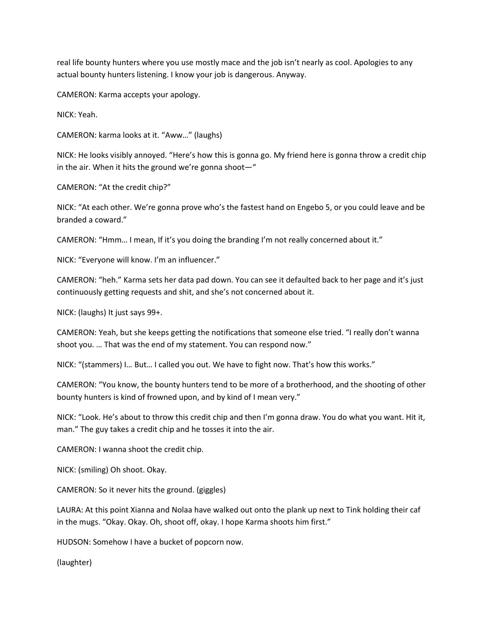real life bounty hunters where you use mostly mace and the job isn't nearly as cool. Apologies to any actual bounty hunters listening. I know your job is dangerous. Anyway.

CAMERON: Karma accepts your apology.

NICK: Yeah.

CAMERON: karma looks at it. "Aww…" (laughs)

NICK: He looks visibly annoyed. "Here's how this is gonna go. My friend here is gonna throw a credit chip in the air. When it hits the ground we're gonna shoot—"

CAMERON: "At the credit chip?"

NICK: "At each other. We're gonna prove who's the fastest hand on Engebo 5, or you could leave and be branded a coward."

CAMERON: "Hmm… I mean, If it's you doing the branding I'm not really concerned about it."

NICK: "Everyone will know. I'm an influencer."

CAMERON: "heh." Karma sets her data pad down. You can see it defaulted back to her page and it's just continuously getting requests and shit, and she's not concerned about it.

NICK: (laughs) It just says 99+.

CAMERON: Yeah, but she keeps getting the notifications that someone else tried. "I really don't wanna shoot you. … That was the end of my statement. You can respond now."

NICK: "(stammers) I… But… I called you out. We have to fight now. That's how this works."

CAMERON: "You know, the bounty hunters tend to be more of a brotherhood, and the shooting of other bounty hunters is kind of frowned upon, and by kind of I mean very."

NICK: "Look. He's about to throw this credit chip and then I'm gonna draw. You do what you want. Hit it, man." The guy takes a credit chip and he tosses it into the air.

CAMERON: I wanna shoot the credit chip.

NICK: (smiling) Oh shoot. Okay.

CAMERON: So it never hits the ground. (giggles)

LAURA: At this point Xianna and Nolaa have walked out onto the plank up next to Tink holding their caf in the mugs. "Okay. Okay. Oh, shoot off, okay. I hope Karma shoots him first."

HUDSON: Somehow I have a bucket of popcorn now.

(laughter)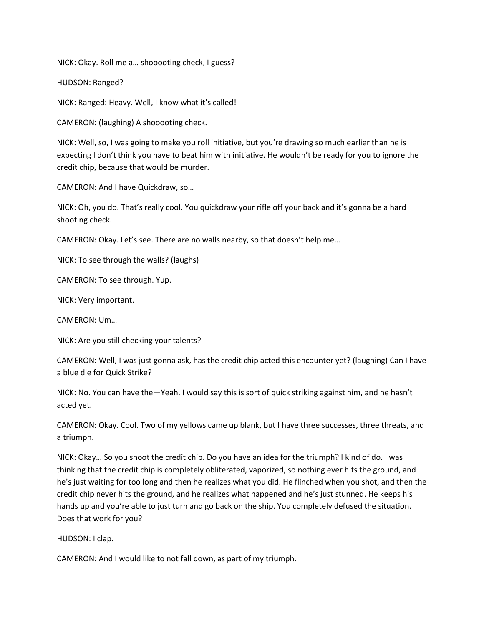NICK: Okay. Roll me a… shooooting check, I guess?

HUDSON: Ranged?

NICK: Ranged: Heavy. Well, I know what it's called!

CAMERON: (laughing) A shooooting check.

NICK: Well, so, I was going to make you roll initiative, but you're drawing so much earlier than he is expecting I don't think you have to beat him with initiative. He wouldn't be ready for you to ignore the credit chip, because that would be murder.

CAMERON: And I have Quickdraw, so…

NICK: Oh, you do. That's really cool. You quickdraw your rifle off your back and it's gonna be a hard shooting check.

CAMERON: Okay. Let's see. There are no walls nearby, so that doesn't help me…

NICK: To see through the walls? (laughs)

CAMERON: To see through. Yup.

NICK: Very important.

CAMERON: Um…

NICK: Are you still checking your talents?

CAMERON: Well, I was just gonna ask, has the credit chip acted this encounter yet? (laughing) Can I have a blue die for Quick Strike?

NICK: No. You can have the—Yeah. I would say this is sort of quick striking against him, and he hasn't acted yet.

CAMERON: Okay. Cool. Two of my yellows came up blank, but I have three successes, three threats, and a triumph.

NICK: Okay… So you shoot the credit chip. Do you have an idea for the triumph? I kind of do. I was thinking that the credit chip is completely obliterated, vaporized, so nothing ever hits the ground, and he's just waiting for too long and then he realizes what you did. He flinched when you shot, and then the credit chip never hits the ground, and he realizes what happened and he's just stunned. He keeps his hands up and you're able to just turn and go back on the ship. You completely defused the situation. Does that work for you?

HUDSON: I clap.

CAMERON: And I would like to not fall down, as part of my triumph.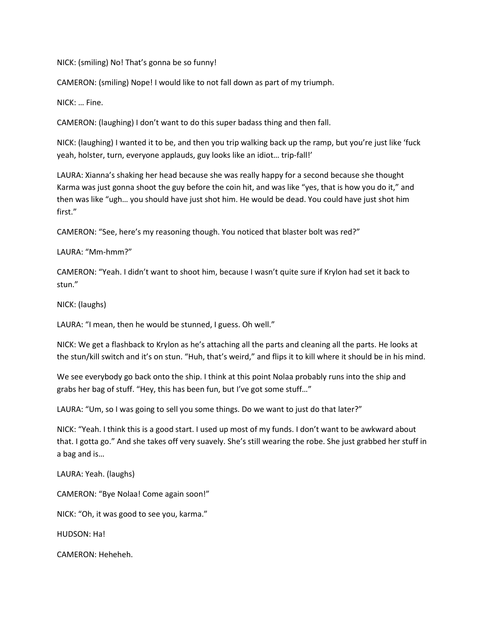NICK: (smiling) No! That's gonna be so funny!

CAMERON: (smiling) Nope! I would like to not fall down as part of my triumph.

NICK: … Fine.

CAMERON: (laughing) I don't want to do this super badass thing and then fall.

NICK: (laughing) I wanted it to be, and then you trip walking back up the ramp, but you're just like 'fuck yeah, holster, turn, everyone applauds, guy looks like an idiot… trip-fall!'

LAURA: Xianna's shaking her head because she was really happy for a second because she thought Karma was just gonna shoot the guy before the coin hit, and was like "yes, that is how you do it," and then was like "ugh… you should have just shot him. He would be dead. You could have just shot him first."

CAMERON: "See, here's my reasoning though. You noticed that blaster bolt was red?"

LAURA: "Mm-hmm?"

CAMERON: "Yeah. I didn't want to shoot him, because I wasn't quite sure if Krylon had set it back to stun."

NICK: (laughs)

LAURA: "I mean, then he would be stunned, I guess. Oh well."

NICK: We get a flashback to Krylon as he's attaching all the parts and cleaning all the parts. He looks at the stun/kill switch and it's on stun. "Huh, that's weird," and flips it to kill where it should be in his mind.

We see everybody go back onto the ship. I think at this point Nolaa probably runs into the ship and grabs her bag of stuff. "Hey, this has been fun, but I've got some stuff…"

LAURA: "Um, so I was going to sell you some things. Do we want to just do that later?"

NICK: "Yeah. I think this is a good start. I used up most of my funds. I don't want to be awkward about that. I gotta go." And she takes off very suavely. She's still wearing the robe. She just grabbed her stuff in a bag and is…

LAURA: Yeah. (laughs)

CAMERON: "Bye Nolaa! Come again soon!"

NICK: "Oh, it was good to see you, karma."

HUDSON: Ha!

CAMERON: Heheheh.